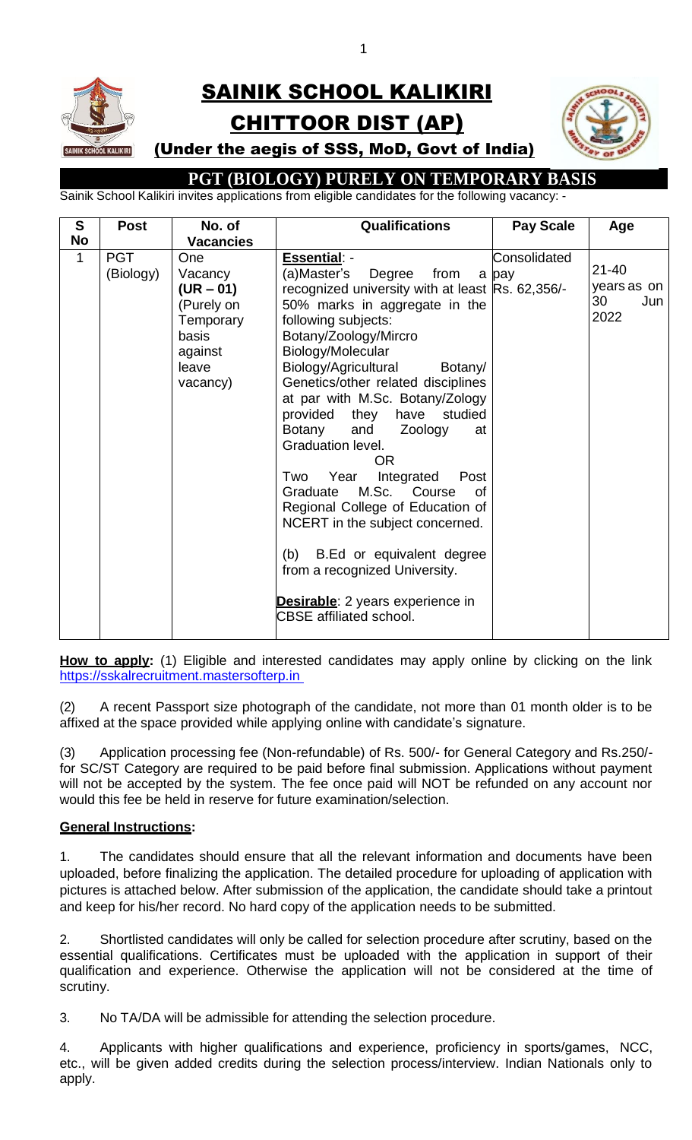# SAINIK SCHOOL KALIKIRI CHITTOOR DIST (AP)



### (Under the aegis of SSS, MoD, Govt of India)

## **PGT (BIOLOGY) PURELY ON TEMPORARY BASIS**

Sainik School Kalikiri invites applications from eligible candidates for the following vacancy: -

| S            | <b>Post</b>             | No. of                                                                                            | <b>Qualifications</b>                                                                                                                                                                                                                                                                                                                                                                                                                                                                                                                                                                                                                                                                                                 | <b>Pay Scale</b>      | Age                                           |
|--------------|-------------------------|---------------------------------------------------------------------------------------------------|-----------------------------------------------------------------------------------------------------------------------------------------------------------------------------------------------------------------------------------------------------------------------------------------------------------------------------------------------------------------------------------------------------------------------------------------------------------------------------------------------------------------------------------------------------------------------------------------------------------------------------------------------------------------------------------------------------------------------|-----------------------|-----------------------------------------------|
| <b>No</b>    |                         | <b>Vacancies</b>                                                                                  |                                                                                                                                                                                                                                                                                                                                                                                                                                                                                                                                                                                                                                                                                                                       |                       |                                               |
| $\mathbf{1}$ | <b>PGT</b><br>(Biology) | One<br>Vacancy<br>$(UR - 01)$<br>(Purely on<br>Temporary<br>basis<br>against<br>leave<br>vacancy) | <b>Essential: -</b><br>Degree<br>from<br>(a)Master's<br>recognized university with at least Rs. 62,356/-<br>50% marks in aggregate in the<br>following subjects:<br>Botany/Zoology/Mircro<br>Biology/Molecular<br>Biology/Agricultural<br>Botany/<br>Genetics/other related disciplines<br>at par with M.Sc. Botany/Zology<br>provided<br>they have studied<br>Botany<br>and<br>Zoology<br>at<br>Graduation level.<br>OR<br>Year<br>Integrated<br>Post<br>Two<br>Graduate M.Sc. Course<br>0f<br>Regional College of Education of<br>NCERT in the subject concerned.<br>B.Ed or equivalent degree<br>(b)<br>from a recognized University.<br><b>Desirable:</b> 2 years experience in<br><b>CBSE</b> affiliated school. | Consolidated<br>a pay | $21 - 40$<br>years as on<br>30<br>Jun<br>2022 |

How to apply: (1) Eligible and interested candidates may apply online by clicking on the link [https://sskalrecruitment.mastersofterp.in](https://sskalrecruitment.mastersofterp.in/)

(2) A recent Passport size photograph of the candidate, not more than 01 month older is to be affixed at the space provided while applying online with candidate's signature.

(3) Application processing fee (Non-refundable) of Rs. 500/- for General Category and Rs.250/ for SC/ST Category are required to be paid before final submission. Applications without payment will not be accepted by the system. The fee once paid will NOT be refunded on any account nor would this fee be held in reserve for future examination/selection.

### **General Instructions:**

1. The candidates should ensure that all the relevant information and documents have been uploaded, before finalizing the application. The detailed procedure for uploading of application with pictures is attached below. After submission of the application, the candidate should take a printout and keep for his/her record. No hard copy of the application needs to be submitted.

2. Shortlisted candidates will only be called for selection procedure after scrutiny, based on the essential qualifications. Certificates must be uploaded with the application in support of their qualification and experience. Otherwise the application will not be considered at the time of scrutiny.

3. No TA/DA will be admissible for attending the selection procedure.

4. Applicants with higher qualifications and experience, proficiency in sports/games, NCC, etc., will be given added credits during the selection process/interview. Indian Nationals only to apply.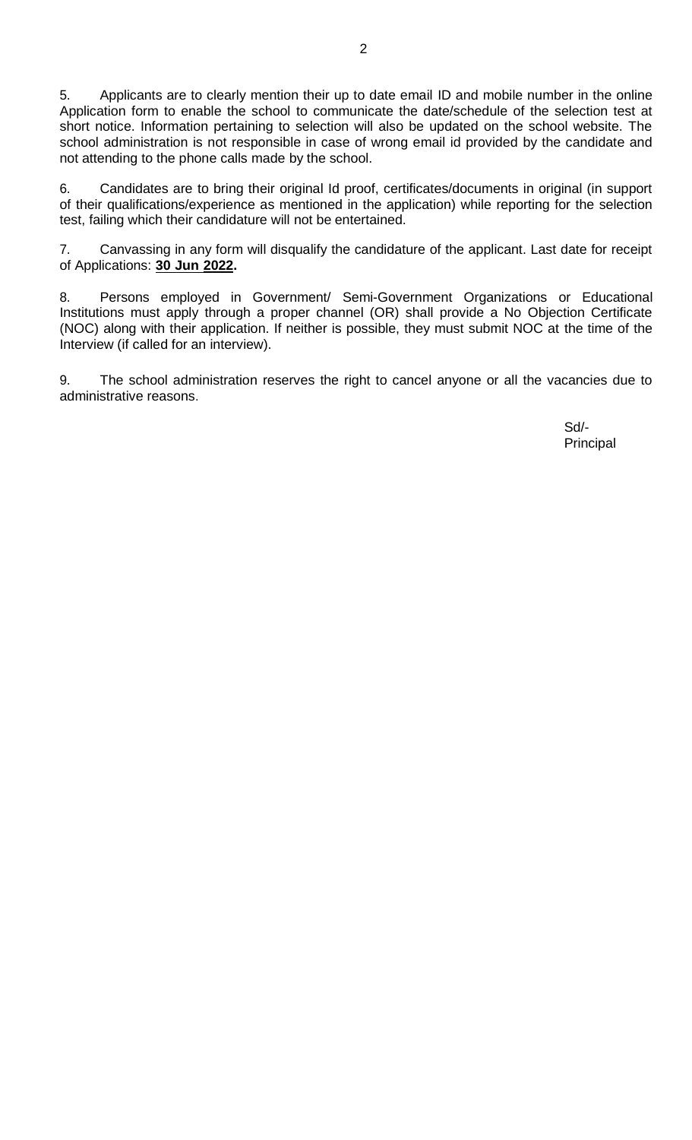5. Applicants are to clearly mention their up to date email ID and mobile number in the online Application form to enable the school to communicate the date/schedule of the selection test at short notice. Information pertaining to selection will also be updated on the school website. The school administration is not responsible in case of wrong email id provided by the candidate and not attending to the phone calls made by the school.

6. Candidates are to bring their original Id proof, certificates/documents in original (in support of their qualifications/experience as mentioned in the application) while reporting for the selection test, failing which their candidature will not be entertained.

7. Canvassing in any form will disqualify the candidature of the applicant. Last date for receipt of Applications: **30 Jun 2022.**

8. Persons employed in Government/ Semi-Government Organizations or Educational Institutions must apply through a proper channel (OR) shall provide a No Objection Certificate (NOC) along with their application. If neither is possible, they must submit NOC at the time of the Interview (if called for an interview).

9. The school administration reserves the right to cancel anyone or all the vacancies due to administrative reasons.

> Sd/- Principal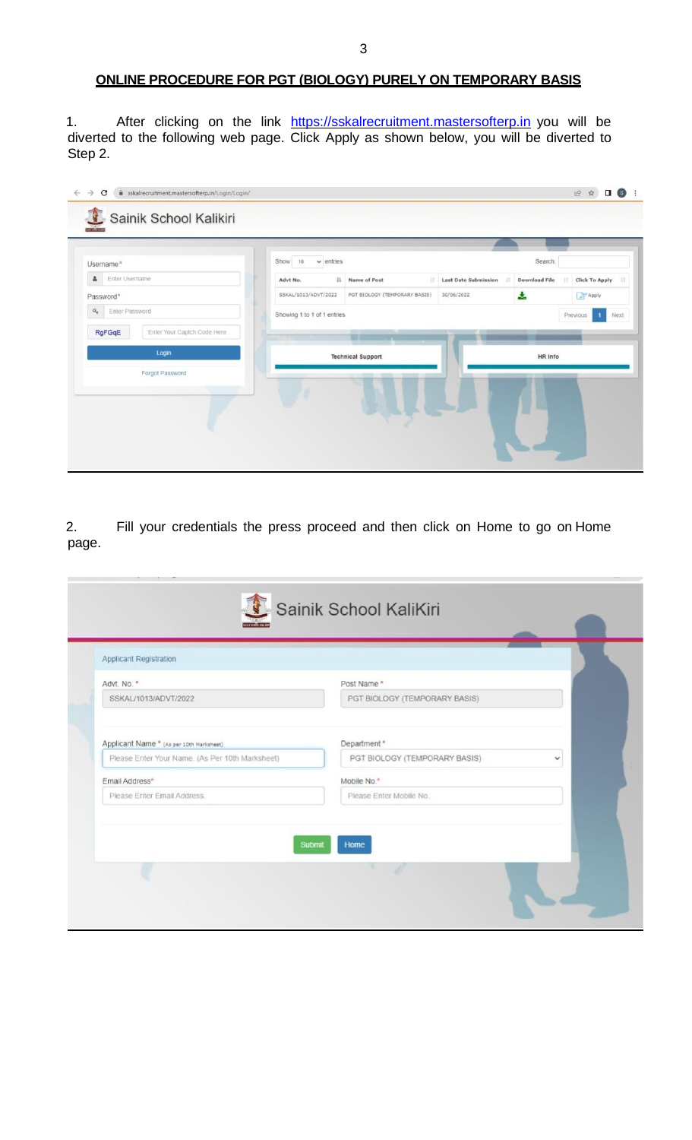#### **ONLINE PROCEDURE FOR PGT (BIOLOGY) PURELY ON TEMPORARY BASIS**

1. After clicking on the link [https://sskalrecruitment.mastersofterp.in](https://sskalrecruitment.mastersofterp.in/) you will be diverted to the following web page. Click Apply as shown below, you will be diverted to Step 2.

| Username*                                                              | Show<br>10<br>$\vee$ entries<br>Search:                                                                  |                                  |
|------------------------------------------------------------------------|----------------------------------------------------------------------------------------------------------|----------------------------------|
| Enter Username<br>홐                                                    | 11<br><b>Last Date Submission</b><br>Advt No.<br><b>Name of Post</b><br>11<br>17<br><b>Download File</b> | <b>Click To Apply</b><br>$_{11}$ |
| Password*                                                              | SSKAL/1013/ADVT/2022<br>÷.<br>PGT BIOLOGY (TEMPORARY BASIS)<br>30/06/2022                                | Apply                            |
| $a_{\rm e}$<br>Enter Password<br>RgFGqE<br>Enter Your Captch Code Here | Showing 1 to 1 of 1 entries                                                                              | Previous<br>Next<br>-1           |
| Login                                                                  | w<br><b>Technical Support</b><br>HR Info                                                                 |                                  |
| Forgot Password                                                        | L                                                                                                        |                                  |

2. Fill your credentials the press proceed and then click on Home to go on Home page.

| Advt. No. *                                   | Post Name *                            |
|-----------------------------------------------|----------------------------------------|
| SSKAL/1013/ADVT/2022                          | PGT BIOLOGY (TEMPORARY BASIS)          |
| Email Address*<br>Please Enter Email Address. | Mobile No.*<br>Please Enter Mobile No. |
|                                               |                                        |
|                                               | Submit<br>Home                         |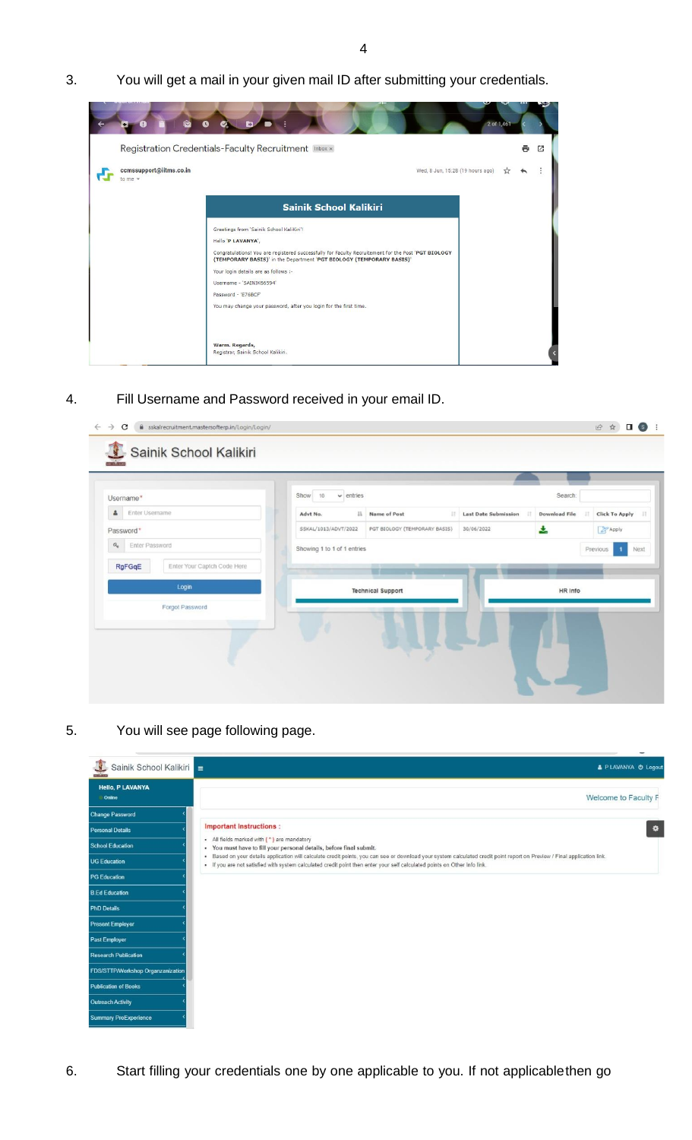3. You will get a mail in your given mail ID after submitting your credentials.



4. Fill Username and Password received in your email ID.

| Username*                                      | $\vee$ entries<br>Show<br>10 |                               |                                   | Search:              |                       |
|------------------------------------------------|------------------------------|-------------------------------|-----------------------------------|----------------------|-----------------------|
| ዹ<br>Enter Username                            | $11$<br>Advt No.             | Name of Post<br>11            | <b>Last Date Submission</b><br>11 | <b>Download File</b> | <b>Click To Apply</b> |
| Password*                                      | SSKAL/1013/ADVT/2022         | PGT BIOLOGY (TEMPORARY BASIS) | 30/06/2022                        | 소                    | Apply                 |
| RgFGqE<br>Enter Your Captch Code Here<br>Login |                              | <b>Technical Support</b>      |                                   | HR Info              |                       |
| Forgot Password                                |                              |                               | na 2                              | Ш                    |                       |

5. You will see page following page.

| Sainik School Kalikiri<br><b>The Company</b> | & P LAVANYA @ Logout                                                                                                                                                                                                                                                                                      |
|----------------------------------------------|-----------------------------------------------------------------------------------------------------------------------------------------------------------------------------------------------------------------------------------------------------------------------------------------------------------|
| <b>Hello, P LAVANYA</b><br>Online            | Welcome to Faculty F                                                                                                                                                                                                                                                                                      |
| <b>Change Password</b>                       |                                                                                                                                                                                                                                                                                                           |
| <b>Personal Details</b>                      | <b>Important Instructions:</b><br>$\bullet$                                                                                                                                                                                                                                                               |
| <b>School Education</b>                      | • All fields marked with (*) are mandatory<br>. You must have to fill your personal details, before final submit.                                                                                                                                                                                         |
| <b>UG Education</b>                          | Based on your details application will calculate credit points, you can see or download your system calculated credit point report on Preview / Final application link.<br>٠<br>- If you are not satisfied with system calculated credit point then enter your self calculated points on Other Info link. |
| <b>PG Education</b>                          |                                                                                                                                                                                                                                                                                                           |
| <b>B.Ed Education</b>                        |                                                                                                                                                                                                                                                                                                           |
| <b>PhD Details</b>                           |                                                                                                                                                                                                                                                                                                           |
| <b>Present Employer</b>                      |                                                                                                                                                                                                                                                                                                           |
| Past Employer                                |                                                                                                                                                                                                                                                                                                           |
| <b>Research Publication</b>                  |                                                                                                                                                                                                                                                                                                           |
| FDS/STTP/Workshop Organzanization            |                                                                                                                                                                                                                                                                                                           |
| <b>Publication of Books</b>                  |                                                                                                                                                                                                                                                                                                           |
| <b>Outreach Activity</b>                     |                                                                                                                                                                                                                                                                                                           |
| <b>Summary ProExperience</b>                 |                                                                                                                                                                                                                                                                                                           |

6. Start filling your credentials one by one applicable to you. If not applicablethen go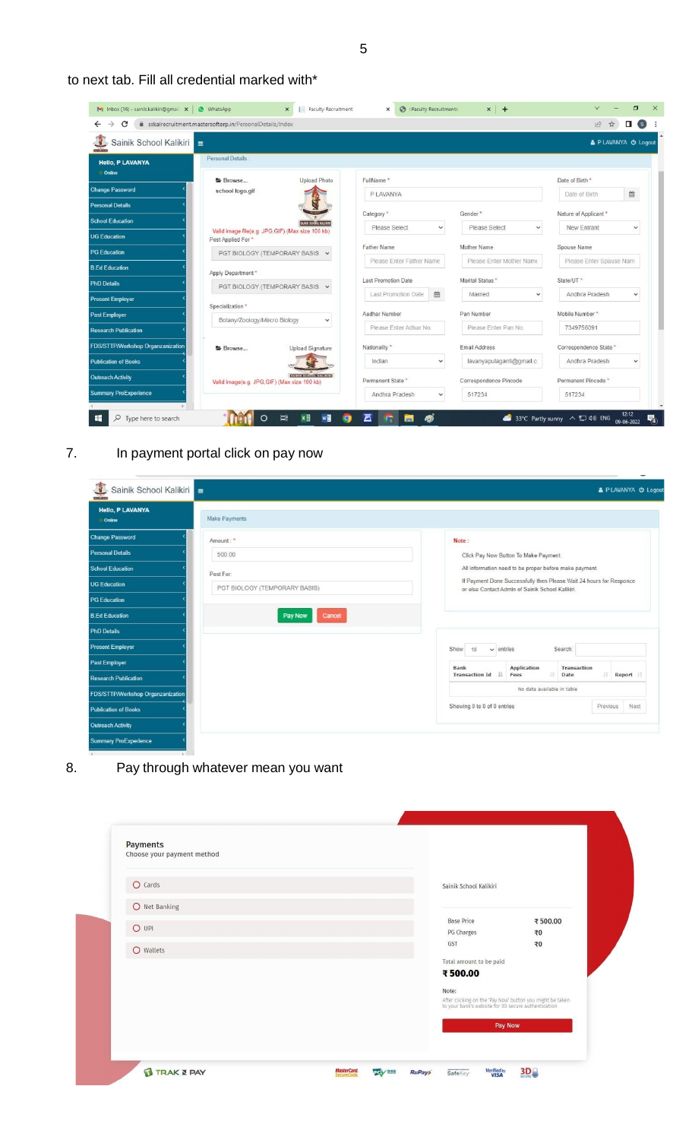5

|  | to next tab. Fill all credential marked with* |  |
|--|-----------------------------------------------|--|
|--|-----------------------------------------------|--|

| Sainik School Kalikiri<br><b>COLLAND</b> |                                                                                |                                |                               | & PLAVANYA O Logout            |
|------------------------------------------|--------------------------------------------------------------------------------|--------------------------------|-------------------------------|--------------------------------|
| <b>Hello, P LAVANYA</b><br>Online        | Personal Details                                                               |                                |                               |                                |
|                                          | <b>Upload Photo</b><br>Browse                                                  | FullName*                      |                               | Date of Birth *                |
| <b>Change Password</b>                   | school logo.gif                                                                | <b>PLAVANYA</b>                |                               | 兽<br>Date of Birth             |
| <b>Personal Details</b>                  |                                                                                | Category*                      | Gender*                       | Nature of Applicant *          |
| <b>School Education</b>                  | <b>SAINIK SCHOOL KALIKIRI</b>                                                  | Please Select<br>$\checkmark$  | Please Select<br>$\checkmark$ | New Entrant<br>$\checkmark$    |
| <b>UG Education</b>                      | Valid image file(e.g. JPG,GIF) (Max size 100 kb)<br>Post Applied For *         |                                |                               |                                |
| <b>PG Education</b>                      | PGT BIOLOGY (TEMPORARY BASIS V                                                 | <b>Father Name</b>             | Mother Name                   | Spouse Name                    |
| <b>B.Ed Education</b>                    | Apply Department *                                                             | Please Enter Father Name       | Please Enter Mother Name      | Please Enter Spause Nam        |
| <b>PhD Details</b>                       | PGT BIOLOGY (TEMPORARY BASIS V                                                 | Last Promotion Date            | Marital Status*               | State/UT <sup>*</sup>          |
| <b>Present Employer</b>                  |                                                                                | 篇<br>Last Promotion Date       | Married<br>$\checkmark$       | Andhra Pradesh<br>$\checkmark$ |
| <b>Past Employer</b>                     | Specialization *                                                               | Aadhar Number                  | Pan Number                    | Mobile Number*                 |
| <b>Research Publication</b>              | Botany/Zoology/Mircro Biology<br>$\checkmark$                                  | Please Enter Adhar No.         | Please Enter Pan No.          | 7349756091                     |
| FDS/STTP/Workshop Organzanization        | <b>Upload Signature</b><br>Browse                                              | Nationality *                  | Email Address                 | Correspondence State *         |
| <b>Publication of Books</b>              |                                                                                | Indian<br>$\checkmark$         | lavanyapulaganti@gmail.c      | Andhra Pradesh<br>$\checkmark$ |
| <b>Outreach Activity</b>                 | <b>BAINIK RENOIS, KALIKINI</b><br>Valid image(e.g. JPG, GIF) (Max size 100 kb) | Permanent State *              | Correspondence Pincode        | Permanent Pincode *            |
| <b>Summary ProExperience</b>             |                                                                                | Andhra Pradesh<br>$\checkmark$ | 517234                        | 517234                         |

## 7. In payment portal click on pay now

| Sainik School Kalikiri =<br>makan a |                               | & P LAVANYA @ Logout                                                                                                    |
|-------------------------------------|-------------------------------|-------------------------------------------------------------------------------------------------------------------------|
| <b>Hello, P LAVANYA</b><br>Online   | Make Payments                 |                                                                                                                         |
| <b>Change Password</b>              | Amount:"                      | Note:                                                                                                                   |
| <b>Personal Details</b>             | 500.00                        | Click Pay Now Button To Make Payment.                                                                                   |
| <b>School Education</b>             | Post For.                     | All information need to be proper before make payment.                                                                  |
| <b>UG Education</b>                 | PGT BIOLOGY (TEMPORARY BASIS) | If Payment Done Successfully then Please Wait 24 hours for Responce<br>or else Contact Admin of Sainik School Kalikiri. |
| <b>PG Education</b>                 |                               |                                                                                                                         |
| <b>B.Ed Education</b>               | Cancel<br>Pay Now             |                                                                                                                         |
| <b>PhD Details</b>                  |                               |                                                                                                                         |
| <b>Present Employer</b>             |                               | Search:<br>Show<br>$\vee$ entries<br>10                                                                                 |
| Past Employer                       |                               | Application<br>Bank<br>Transaction                                                                                      |
| <b>Research Publication</b>         |                               | Transaction Id<br>17<br>17<br>Fees<br>Date<br>Report                                                                    |
| FDS/STTP/Workshop Organzanization   |                               | No data available in table                                                                                              |
| <b>Publication of Books</b>         |                               | Showing 0 to 0 of 0 entries<br>Next<br>Previous                                                                         |
| Outreach Activity                   |                               |                                                                                                                         |
|                                     |                               |                                                                                                                         |

8. Pay through whatever mean you want

| $O$ Cards     |  | Sainik School Kalikiri                              |                                                           |
|---------------|--|-----------------------------------------------------|-----------------------------------------------------------|
| O Net Banking |  |                                                     |                                                           |
|               |  | <b>Base Price</b>                                   | ₹500.00                                                   |
| $O$ UPI       |  | PG Charges                                          | ₹0                                                        |
| O Wallets     |  | GST                                                 | ₹0                                                        |
|               |  | Total amount to be paid                             |                                                           |
|               |  | ₹500.00                                             |                                                           |
|               |  | Note:                                               |                                                           |
|               |  | to your bank's website for 3D secure authentication | After clicking on the 'Pay Now' button you might be taken |
|               |  |                                                     | Pay Now                                                   |